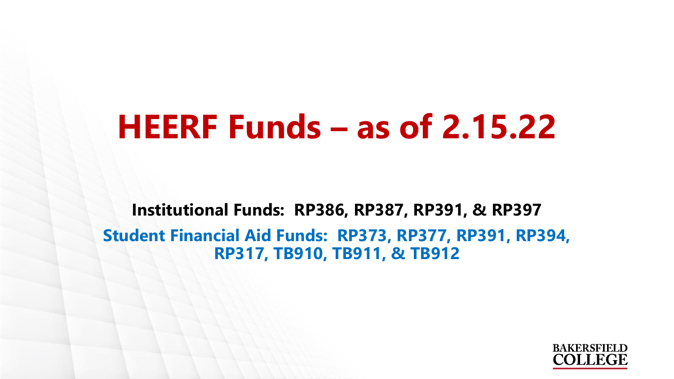## **HEERF Funds – as of 2.15.22**

**Institutional Funds: RP386, RP387, RP391, & RP397 Student Financial Aid Funds: RP373, RP377, RP391, RP394, RP317, TB910, TB911, & TB912**

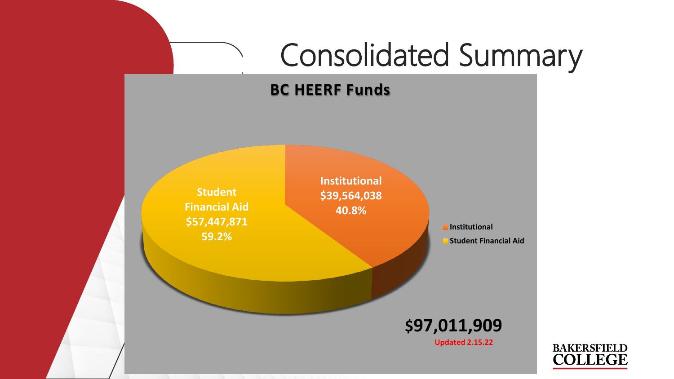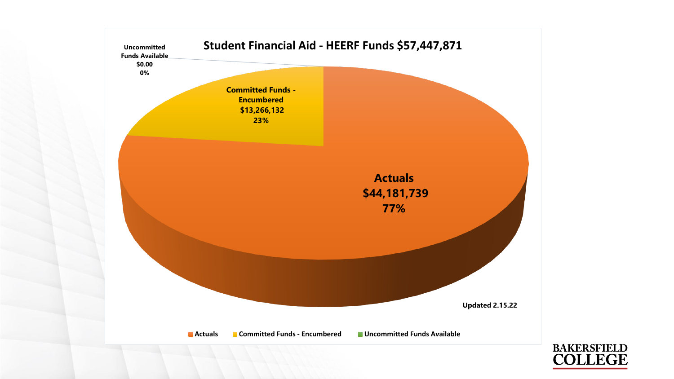

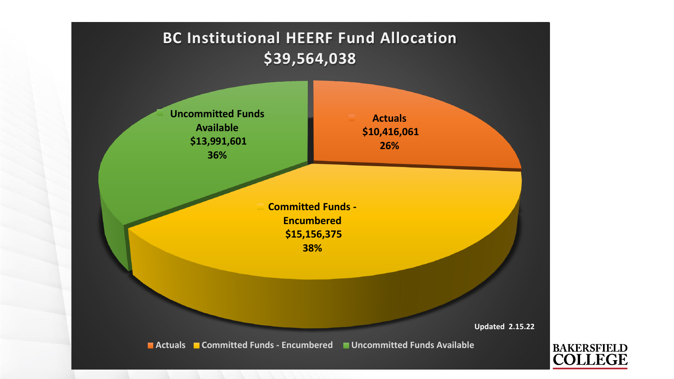